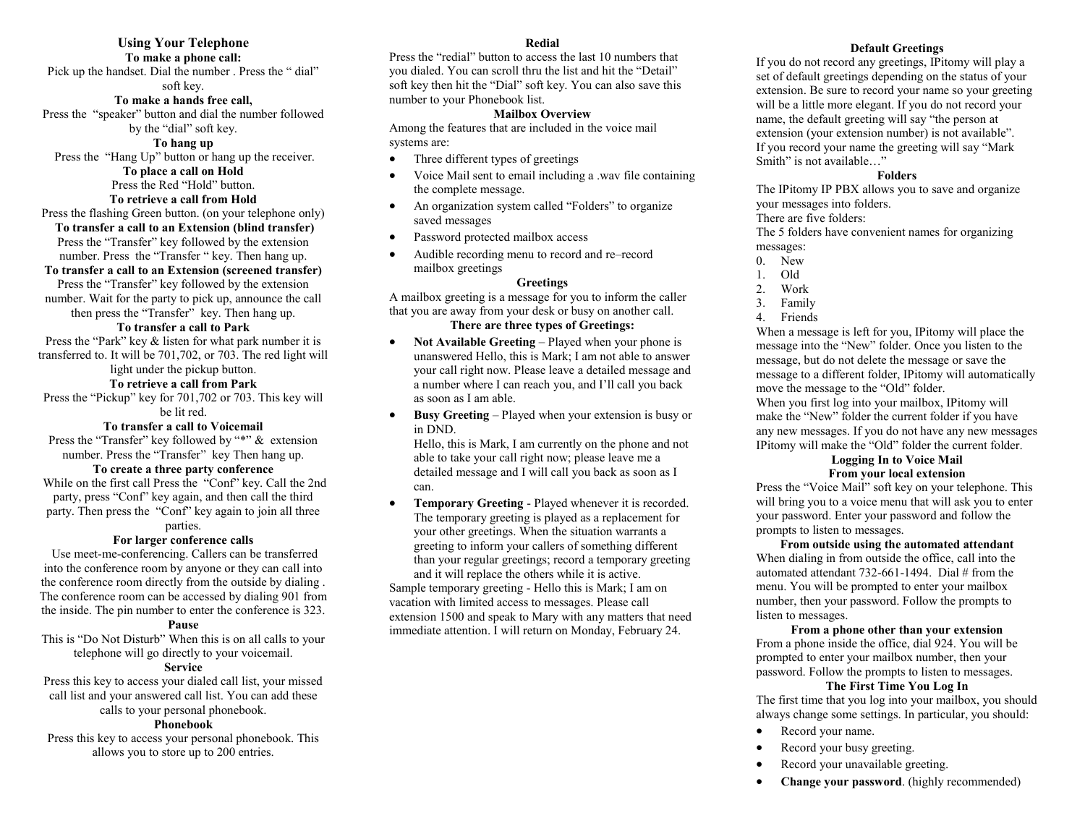## **Using Your Telephone**

## **To make a phone call:**

Pick up the handset. Dial the number . Press the " dial" soft key.

#### **To make a hands free call,**

Press the "speaker" button and dial the number followed by the "dial" soft key.

#### **To hang up**

Press the "Hang Up" button or hang up the receiver. **To place a call on Hold**

Press the Red "Hold" button.

#### **To retrieve a call from Hold**

Press the flashing Green button. (on your telephone only) **To transfer a call to an Extension (blind transfer)** Press the "Transfer" key followed by the extension

#### number. Press the "Transfer " key. Then hang up. **To transfer a call to an Extension (screened transfer)**

Press the "Transfer" key followed by the extension number. Wait for the party to pick up, announce the call

then press the "Transfer" key. Then hang up.

## **To transfer a call to Park**

Press the "Park" key & listen for what park number it is transferred to. It will be 701,702, or 703. The red light will

## light under the pickup button.

**To retrieve a call from Park**

Press the "Pickup" key for 701,702 or 703. This key will be lit red.

#### **To transfer a call to Voicemail**

Press the "Transfer" key followed by "\*" & extension number. Press the "Transfer" key Then hang up.

#### **To create a three party conference**

While on the first call Press the "Conf" key. Call the 2nd party, press "Conf" key again, and then call the third party. Then press the "Conf" key again to join all three parties.

#### **For larger conference calls**

Use meet-me-conferencing. Callers can be transferred into the conference room by anyone or they can call into the conference room directly from the outside by dialing . The conference room can be accessed by dialing 901 from the inside. The pin number to enter the conference is 323.

#### **Pause**

This is "Do Not Disturb" When this is on all calls to your telephone will go directly to your voicemail.

## **Service**

Press this key to access your dialed call list, your missed call list and your answered call list. You can add these calls to your personal phonebook.

#### **Phonebook**

Press this key to access your personal phonebook. This allows you to store up to 200 entries.

#### **Redial**

Press the "redial" button to access the last 10 numbers that you dialed. You can scroll thru the list and hit the "Detail" soft key then hit the "Dial" soft key. You can also save this number to your Phonebook list.

#### **Mailbox Overview**

Among the features that are included in the voice mail systems are:

- Three different types of greetings
- Voice Mail sent to email including a .wav file containing the complete message.
- An organization system called "Folders" to organize saved messages
- Password protected mailbox access
- Audible recording menu to record and re–record mailbox greetings

#### **Greetings**

A mailbox greeting is a message for you to inform the caller that you are away from your desk or busy on another call.

## **There are three types of Greetings:**

- Not Available Greeting Played when your phone is unanswered Hello, this is Mark; I am not able to answer your call right now. Please leave a detailed message and a number where I can reach you, and I'll call you back as soon as I am able.
- **Busy Greeting**  Played when your extension is busy or in DND.

Hello, this is Mark, I am currently on the phone and not able to take your call right now; please leave me a detailed message and I will call you back as soon as I can.

 **Temporary Greeting** - Played whenever it is recorded. The temporary greeting is played as a replacement for your other greetings. When the situation warrants a greeting to inform your callers of something different than your regular greetings; record a temporary greeting and it will replace the others while it is active.

Sample temporary greeting - Hello this is Mark; I am on vacation with limited access to messages. Please call extension 1500 and speak to Mary with any matters that need immediate attention. I will return on Monday, February 24.

#### **Default Greetings**

If you do not record any greetings, IPitomy will play a set of default greetings depending on the status of your extension. Be sure to record your name so your greeting will be a little more elegant. If you do not record your name, the default greeting will say "the person at extension (your extension number) is not available". If you record your name the greeting will say "Mark Smith" is not available…"

#### **Folders**

The IPitomy IP PBX allows you to save and organize your messages into folders.

There are five folders:

The 5 folders have convenient names for organizing messages:

- 0. New
- 1. Old
- 2. Work
- 3. Family
- 4. Friends

When a message is left for you, IPitomy will place the message into the "New" folder. Once you listen to the message, but do not delete the message or save the message to a different folder, IPitomy will automatically move the message to the "Old" folder.

When you first log into your mailbox, IPitomy will make the "New" folder the current folder if you have any new messages. If you do not have any new messages IPitomy will make the "Old" folder the current folder.

#### **Logging In to Voice Mail From your local extension**

Press the "Voice Mail" soft key on your telephone. This will bring you to a voice menu that will ask you to enter your password. Enter your password and follow the prompts to listen to messages.

**From outside using the automated attendant** When dialing in from outside the office, call into the automated attendant 732-661-1494. Dial # from the menu. You will be prompted to enter your mailbox number, then your password. Follow the prompts to listen to messages.

#### **From a phone other than your extension**

From a phone inside the office, dial 924. You will be prompted to enter your mailbox number, then your password. Follow the prompts to listen to messages.

#### **The First Time You Log In**

The first time that you log into your mailbox, you should always change some settings. In particular, you should:

- Record your name.
- Record your busy greeting.
- Record your unavailable greeting.
- **Change your password**. (highly recommended)